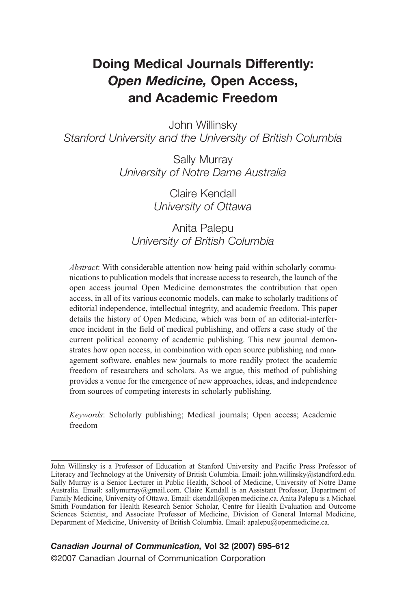# **Doing Medical Journals Differently:**  *Open Medicine,* **Open Access, and Academic Freedom**

John Willinsky *Stanford University and the University of British Columbia*

> Sally Murray *University of Notre Dame Australia*

> > Claire Kendall *University of Ottawa*

Anita Palepu *University of British Columbia*

*Abstract*: With considerable attention now being paid within scholarly communications to publication models that increase access to research, the launch of the open access journal Open Medicine demonstrates the contribution that open access, in all of its various economic models, can make to scholarly traditions of editorial independence, intellectual integrity, and academic freedom. This paper details the history of Open Medicine, which was born of an editorial-interference incident in the field of medical publishing, and offers a case study of the current political economy of academic publishing. This new journal demonstrates how open access, in combination with open source publishing and management software, enables new journals to more readily protect the academic freedom of researchers and scholars. As we argue, this method of publishing provides a venue for the emergence of new approaches, ideas, and independence from sources of competing interests in scholarly publishing.

*Keywords*: Scholarly publishing; Medical journals; Open access; Academic freedom

## *Canadian Journal of Communication,* **Vol 32 (2007) 595-612**

©2007 Canadian Journal of Communication Corporation

John Willinsky is a Professor of Education at Stanford University and Pacific Press Professor of Literacy and Technology at the University of British Columbia. Email: john.willinsky@standford.edu. Sally Murray is a Senior Lecturer in Public Health, School of Medicine, University of Notre Dame Australia. Email: sallymurray@gmail.com. Claire Kendall is an Assistant Professor, Department of Family Medicine, University of Ottawa. Email: ckendall@open medicine.ca. Anita Palepu is a Michael Smith Foundation for Health Research Senior Scholar, Centre for Health Evaluation and Outcome Sciences Scientist, and Associate Professor of Medicine, Division of General Internal Medicine, Department of Medicine, University of British Columbia. Email: apalepu@openmedicine.ca.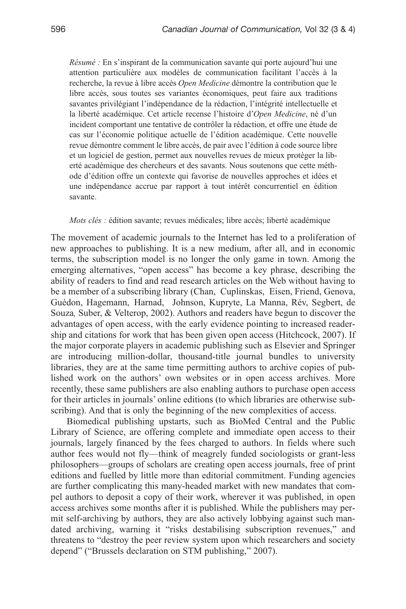*Résumé :* En s'inspirant de la communication savante qui porte aujourd'hui une attention particulière aux modèles de communication facilitant l'accès à la recherche, la revue à libre accès *Open Medicine* démontre la contribution que le libre accès, sous toutes ses variantes économiques, peut faire aux traditions savantes privilégiant l'indépendance de la rédaction, l'intégrité intellectuelle et la liberté académique. Cet article recense l'histoire d'*Open Medicine*, né d'un incident comportant une tentative de contrôler la rédaction, et offre une étude de cas sur l'économie politique actuelle de l'édition académique. Cette nouvelle revue démontre comment le libre accès, de pair avec l'édition à code source libre et un logiciel de gestion, permet aux nouvelles revues de mieux protéger la liberté académique des chercheurs et des savants. Nous soutenons que cette méthode d'édition offre un contexte qui favorise de nouvelles approches et idées et une indépendance accrue par rapport à tout intérêt concurrentiel en édition savante.

#### *Mots clés :* édition savante; revues médicales; libre accès; liberté académique

The movement of academic journals to the Internet has led to a proliferation of new approaches to publishing. It is a new medium, after all, and in economic terms, the subscription model is no longer the only game in town. Among the emerging alternatives, "open access" has become a key phrase, describing the ability of readers to find and read research articles on the Web without having to be a member of a subscribing library (Chan, Cuplinskas, Eisen, Friend, Genova, Guédon, Hagemann, Harnad, Johnson, Kupryte, La Manna, Rév, Segbert, de Souza*,* Suber, & Velterop, 2002). Authors and readers have begun to discover the advantages of open access, with the early evidence pointing to increased readership and citations for work that has been given open access (Hitchcock, 2007). If the major corporate players in academic publishing such as Elsevier and Springer are introducing million-dollar, thousand-title journal bundles to university libraries, they are at the same time permitting authors to archive copies of published work on the authors' own websites or in open access archives. More recently, these same publishers are also enabling authors to purchase open access for their articles in journals' online editions (to which libraries are otherwise subscribing). And that is only the beginning of the new complexities of access.

Biomedical publishing upstarts, such as BioMed Central and the Public Library of Science, are offering complete and immediate open access to their journals, largely financed by the fees charged to authors. In fields where such author fees would not fly—think of meagrely funded sociologists or grant-less philosophers—groups of scholars are creating open access journals, free of print editions and fuelled by little more than editorial commitment. Funding agencies are further complicating this many-headed market with new mandates that compel authors to deposit a copy of their work, wherever it was published, in open access archives some months after it is published. While the publishers may permit self-archiving by authors, they are also actively lobbying against such mandated archiving, warning it "risks destabilising subscription revenues," and threatens to "destroy the peer review system upon which researchers and society depend" ("Brussels declaration on STM publishing," 2007).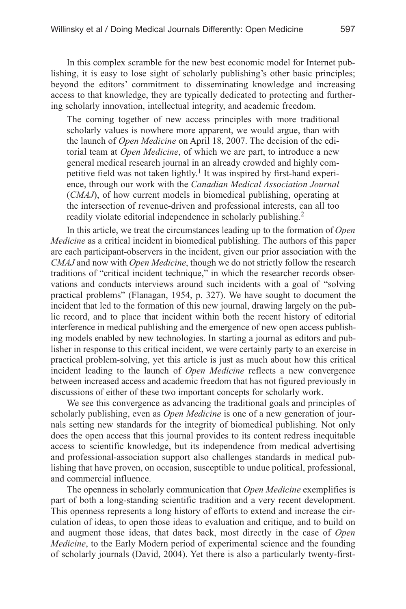In this complex scramble for the new best economic model for Internet publishing, it is easy to lose sight of scholarly publishing's other basic principles; beyond the editors' commitment to disseminating knowledge and increasing access to that knowledge, they are typically dedicated to protecting and furthering scholarly innovation, intellectual integrity, and academic freedom.

The coming together of new access principles with more traditional scholarly values is nowhere more apparent, we would argue, than with the launch of *Open Medicine* on April 18, 2007. The decision of the editorial team at *Open Medicine*, of which we are part, to introduce a new general medical research journal in an already crowded and highly competitive field was not taken lightly.<sup>1</sup> It was inspired by first-hand experience, through our work with the *Canadian Medical Association Journal* (*CMAJ*), of how current models in biomedical publishing, operating at the intersection of revenue-driven and professional interests, can all too readily violate editorial independence in scholarly publishing.2

In this article, we treat the circumstances leading up to the formation of *Open Medicine* as a critical incident in biomedical publishing. The authors of this paper are each participant-observers in the incident, given our prior association with the *CMAJ* and now with *Open Medicine*, though we do not strictly follow the research traditions of "critical incident technique," in which the researcher records observations and conducts interviews around such incidents with a goal of "solving practical problems" (Flanagan, 1954, p. 327). We have sought to document the incident that led to the formation of this new journal, drawing largely on the public record, and to place that incident within both the recent history of editorial interference in medical publishing and the emergence of new open access publishing models enabled by new technologies. In starting a journal as editors and publisher in response to this critical incident, we were certainly party to an exercise in practical problem-solving, yet this article is just as much about how this critical incident leading to the launch of *Open Medicine* reflects a new convergence between increased access and academic freedom that has not figured previously in discussions of either of these two important concepts for scholarly work.

We see this convergence as advancing the traditional goals and principles of scholarly publishing, even as *Open Medicine* is one of a new generation of journals setting new standards for the integrity of biomedical publishing. Not only does the open access that this journal provides to its content redress inequitable access to scientific knowledge, but its independence from medical advertising and professional-association support also challenges standards in medical publishing that have proven, on occasion, susceptible to undue political, professional, and commercial influence.

The openness in scholarly communication that *Open Medicine* exemplifies is part of both a long-standing scientific tradition and a very recent development. This openness represents a long history of efforts to extend and increase the circulation of ideas, to open those ideas to evaluation and critique, and to build on and augment those ideas, that dates back, most directly in the case of *Open Medicine*, to the Early Modern period of experimental science and the founding of scholarly journals (David, 2004). Yet there is also a particularly twenty-first-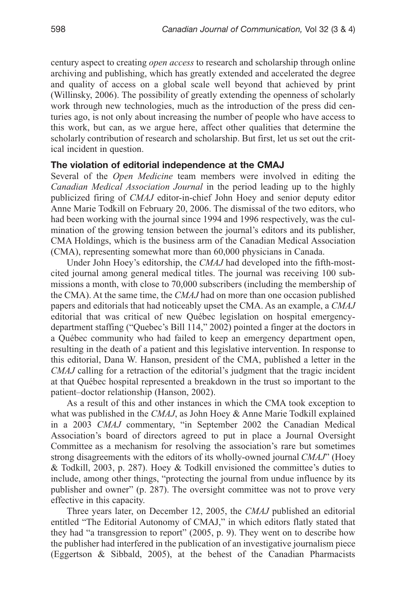century aspect to creating *open access* to research and scholarship through online archiving and publishing, which has greatly extended and accelerated the degree and quality of access on a global scale well beyond that achieved by print (Willinsky, 2006). The possibility of greatly extending the openness of scholarly work through new technologies, much as the introduction of the press did centuries ago, is not only about increasing the number of people who have access to this work, but can, as we argue here, affect other qualities that determine the scholarly contribution of research and scholarship. But first, let us set out the critical incident in question.

# **The violation of editorial independence at the CMAJ**

Several of the *Open Medicine* team members were involved in editing the *Canadian Medical Association Journal* in the period leading up to the highly publicized firing of *CMAJ* editor-in-chief John Hoey and senior deputy editor Anne Marie Todkill on February 20, 2006. The dismissal of the two editors, who had been working with the journal since 1994 and 1996 respectively, was the culmination of the growing tension between the journal's editors and its publisher, CMA Holdings, which is the business arm of the Canadian Medical Association (CMA), representing somewhat more than 60,000 physicians in Canada.

Under John Hoey's editorship, the *CMAJ* had developed into the fifth-mostcited journal among general medical titles. The journal was receiving 100 submissions a month, with close to 70,000 subscribers (including the membership of the CMA). At the same time, the *CMAJ* had on more than one occasion published papers and editorials that had noticeably upset the CMA. As an example, a *CMAJ* editorial that was critical of new Québec legislation on hospital emergencydepartment staffing ("Quebec's Bill 114," 2002) pointed a finger at the doctors in a Québec community who had failed to keep an emergency department open, resulting in the death of a patient and this legislative intervention. In response to this editorial, Dana W. Hanson, president of the CMA, published a letter in the *CMAJ* calling for a retraction of the editorial's judgment that the tragic incident at that Québec hospital represented a breakdown in the trust so important to the patient–doctor relationship (Hanson, 2002).

As a result of this and other instances in which the CMA took exception to what was published in the *CMAJ*, as John Hoey & Anne Marie Todkill explained in a 2003 *CMAJ* commentary, "in September 2002 the Canadian Medical Association's board of directors agreed to put in place a Journal Oversight Committee as a mechanism for resolving the association's rare but sometimes strong disagreements with the editors of its wholly-owned journal *CMAJ*" (Hoey & Todkill, 2003, p. 287). Hoey & Todkill envisioned the committee's duties to include, among other things, "protecting the journal from undue influence by its publisher and owner" (p. 287). The oversight committee was not to prove very effective in this capacity.

Three years later, on December 12, 2005, the *CMAJ* published an editorial entitled "The Editorial Autonomy of CMAJ," in which editors flatly stated that they had "a transgression to report" (2005, p. 9). They went on to describe how the publisher had interfered in the publication of an investigative journalism piece (Eggertson & Sibbald, 2005), at the behest of the Canadian Pharmacists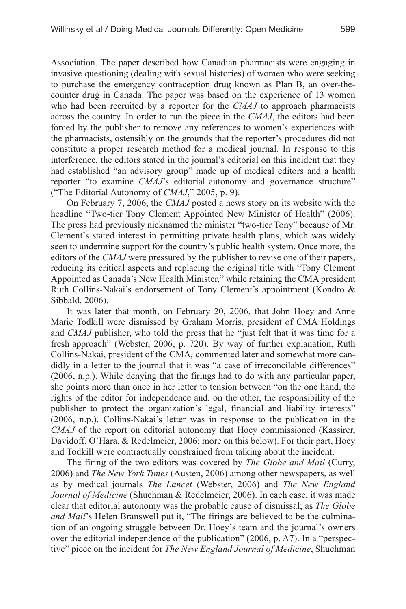Association. The paper described how Canadian pharmacists were engaging in invasive questioning (dealing with sexual histories) of women who were seeking to purchase the emergency contraception drug known as Plan B, an over-thecounter drug in Canada. The paper was based on the experience of 13 women who had been recruited by a reporter for the *CMAJ* to approach pharmacists across the country. In order to run the piece in the *CMAJ*, the editors had been forced by the publisher to remove any references to women's experiences with the pharmacists, ostensibly on the grounds that the reporter's procedures did not constitute a proper research method for a medical journal. In response to this interference, the editors stated in the journal's editorial on this incident that they had established "an advisory group" made up of medical editors and a health reporter "to examine *CMAJ*'s editorial autonomy and governance structure" ("The Editorial Autonomy of *CMAJ*," 2005, p. 9).

On February 7, 2006, the *CMAJ* posted a news story on its website with the headline "Two-tier Tony Clement Appointed New Minister of Health" (2006). The press had previously nicknamed the minister "two-tier Tony" because of Mr. Clement's stated interest in permitting private health plans, which was widely seen to undermine support for the country's public health system. Once more, the editors of the *CMAJ* were pressured by the publisher to revise one of their papers, reducing its critical aspects and replacing the original title with "Tony Clement Appointed as Canada's New Health Minister," while retaining the CMA president Ruth Collins-Nakai's endorsement of Tony Clement's appointment (Kondro & Sibbald, 2006).

It was later that month, on February 20, 2006, that John Hoey and Anne Marie Todkill were dismissed by Graham Morris, president of CMA Holdings and *CMAJ* publisher, who told the press that he "just felt that it was time for a fresh approach" (Webster, 2006, p. 720). By way of further explanation, Ruth Collins-Nakai, president of the CMA, commented later and somewhat more candidly in a letter to the journal that it was "a case of irreconcilable differences" (2006, n.p.). While denying that the firings had to do with any particular paper, she points more than once in her letter to tension between "on the one hand, the rights of the editor for independence and, on the other, the responsibility of the publisher to protect the organization's legal, financial and liability interests" (2006, n.p.). Collins-Nakai's letter was in response to the publication in the *CMAJ* of the report on editorial autonomy that Hoey commissioned (Kassirer, Davidoff, O'Hara, & Redelmeier, 2006; more on this below). For their part, Hoey and Todkill were contractually constrained from talking about the incident.

The firing of the two editors was covered by *The Globe and Mail* (Curry, 2006) and *The New York Times* (Austen, 2006) among other newspapers, as well as by medical journals *The Lancet* (Webster, 2006) and *The New England Journal of Medicine* (Shuchman & Redelmeier, 2006). In each case, it was made clear that editorial autonomy was the probable cause of dismissal; as *The Globe and Mail*'s Helen Branswell put it, "The firings are believed to be the culmination of an ongoing struggle between Dr. Hoey's team and the journal's owners over the editorial independence of the publication" (2006, p. A7). In a "perspective" piece on the incident for *The New England Journal of Medicine*, Shuchman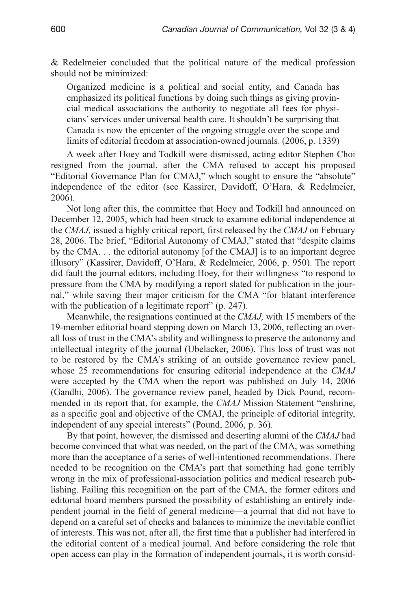& Redelmeier concluded that the political nature of the medical profession should not be minimized:

Organized medicine is a political and social entity, and Canada has emphasized its political functions by doing such things as giving provincial medical associations the authority to negotiate all fees for physicians' services under universal health care. It shouldn't be surprising that Canada is now the epicenter of the ongoing struggle over the scope and limits of editorial freedom at association-owned journals. (2006, p. 1339)

A week after Hoey and Todkill were dismissed, acting editor Stephen Choi resigned from the journal, after the CMA refused to accept his proposed "Editorial Governance Plan for CMAJ," which sought to ensure the "absolute" independence of the editor (see Kassirer, Davidoff, O'Hara, & Redelmeier, 2006).

Not long after this, the committee that Hoey and Todkill had announced on December 12, 2005, which had been struck to examine editorial independence at the *CMAJ,* issued a highly critical report, first released by the *CMAJ* on February 28, 2006. The brief, "Editorial Autonomy of CMAJ," stated that "despite claims by the CMA. . . the editorial autonomy [of the CMAJ] is to an important degree illusory" (Kassirer, Davidoff, O'Hara, & Redelmeier, 2006, p. 950). The report did fault the journal editors, including Hoey, for their willingness "to respond to pressure from the CMA by modifying a report slated for publication in the journal," while saving their major criticism for the CMA "for blatant interference with the publication of a legitimate report" (p. 247).

Meanwhile, the resignations continued at the *CMAJ,* with 15 members of the 19-member editorial board stepping down on March 13, 2006, reflecting an overall loss of trust in the CMA's ability and willingness to preserve the autonomy and intellectual integrity of the journal (Ubelacker, 2006). This loss of trust was not to be restored by the CMA's striking of an outside governance review panel, whose 25 recommendations for ensuring editorial independence at the *CMAJ* were accepted by the CMA when the report was published on July 14, 2006 (Gandhi, 2006). The governance review panel, headed by Dick Pound, recommended in its report that, for example, the *CMAJ* Mission Statement "enshrine, as a specific goal and objective of the CMAJ, the principle of editorial integrity, independent of any special interests" (Pound, 2006, p. 36).

By that point, however, the dismissed and deserting alumni of the *CMAJ* had become convinced that what was needed, on the part of the CMA, was something more than the acceptance of a series of well-intentioned recommendations. There needed to be recognition on the CMA's part that something had gone terribly wrong in the mix of professional-association politics and medical research publishing. Failing this recognition on the part of the CMA, the former editors and editorial board members pursued the possibility of establishing an entirely independent journal in the field of general medicine—a journal that did not have to depend on a careful set of checks and balances to minimize the inevitable conflict of interests. This was not, after all, the first time that a publisher had interfered in the editorial content of a medical journal. And before considering the role that open access can play in the formation of independent journals, it is worth consid-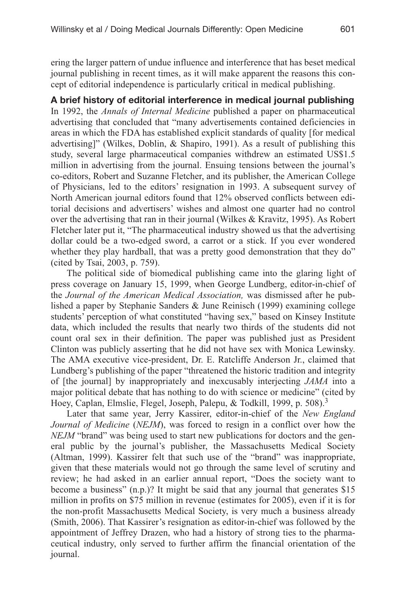ering the larger pattern of undue influence and interference that has beset medical journal publishing in recent times, as it will make apparent the reasons this concept of editorial independence is particularly critical in medical publishing.

**A brief history of editorial interference in medical journal publishing** In 1992, the *Annals of Internal Medicine* published a paper on pharmaceutical advertising that concluded that "many advertisements contained deficiencies in areas in which the FDA has established explicit standards of quality [for medical advertising]" (Wilkes, Doblin, & Shapiro, 1991). As a result of publishing this study, several large pharmaceutical companies withdrew an estimated US\$1.5 million in advertising from the journal. Ensuing tensions between the journal's co-editors, Robert and Suzanne Fletcher, and its publisher, the American College of Physicians, led to the editors' resignation in 1993. A subsequent survey of North American journal editors found that 12% observed conflicts between editorial decisions and advertisers' wishes and almost one quarter had no control over the advertising that ran in their journal (Wilkes & Kravitz, 1995). As Robert Fletcher later put it, "The pharmaceutical industry showed us that the advertising dollar could be a two-edged sword, a carrot or a stick. If you ever wondered whether they play hardball, that was a pretty good demonstration that they do" (cited by Tsai, 2003, p. 759).

The political side of biomedical publishing came into the glaring light of press coverage on January 15, 1999, when George Lundberg, editor-in-chief of the *Journal of the American Medical Association,* was dismissed after he published a paper by Stephanie Sanders & June Reinisch (1999) examining college students' perception of what constituted "having sex," based on Kinsey Institute data, which included the results that nearly two thirds of the students did not count oral sex in their definition. The paper was published just as President Clinton was publicly asserting that he did not have sex with Monica Lewinsky. The AMA executive vice-president, Dr. E. Ratcliffe Anderson Jr., claimed that Lundberg's publishing of the paper "threatened the historic tradition and integrity of [the journal] by inappropriately and inexcusably interjecting *JAMA* into a major political debate that has nothing to do with science or medicine" (cited by Hoey, Caplan, Elmslie, Flegel, Joseph, Palepu, & Todkill, 1999, p. 508).<sup>3</sup>

Later that same year, Jerry Kassirer, editor-in-chief of the *New England Journal of Medicine* (*NEJM*), was forced to resign in a conflict over how the *NEJM* "brand" was being used to start new publications for doctors and the general public by the journal's publisher, the Massachusetts Medical Society (Altman, 1999). Kassirer felt that such use of the "brand" was inappropriate, given that these materials would not go through the same level of scrutiny and review; he had asked in an earlier annual report, "Does the society want to become a business" (n.p.)? It might be said that any journal that generates \$15 million in profits on \$75 million in revenue (estimates for 2005), even if it is for the non-profit Massachusetts Medical Society, is very much a business already (Smith, 2006). That Kassirer's resignation as editor-in-chief was followed by the appointment of Jeffrey Drazen, who had a history of strong ties to the pharmaceutical industry, only served to further affirm the financial orientation of the journal.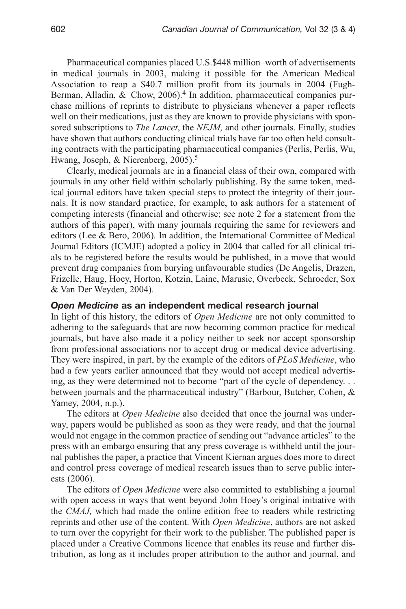Pharmaceutical companies placed U.S.\$448 million–worth of advertisements in medical journals in 2003, making it possible for the American Medical Association to reap a \$40.7 million profit from its journals in 2004 (Fugh-Berman, Alladin, & Chow, 2006).<sup>4</sup> In addition, pharmaceutical companies purchase millions of reprints to distribute to physicians whenever a paper reflects well on their medications, just as they are known to provide physicians with sponsored subscriptions to *The Lancet*, the *NEJM,* and other journals. Finally, studies have shown that authors conducting clinical trials have far too often held consulting contracts with the participating pharmaceutical companies (Perlis, Perlis, Wu, Hwang, Joseph, & Nierenberg, 2005).<sup>5</sup>

Clearly, medical journals are in a financial class of their own, compared with journals in any other field within scholarly publishing. By the same token, medical journal editors have taken special steps to protect the integrity of their journals. It is now standard practice, for example, to ask authors for a statement of competing interests (financial and otherwise; see note 2 for a statement from the authors of this paper), with many journals requiring the same for reviewers and editors (Lee & Bero, 2006)*.* In addition, the International Committee of Medical Journal Editors (ICMJE) adopted a policy in 2004 that called for all clinical trials to be registered before the results would be published, in a move that would prevent drug companies from burying unfavourable studies (De Angelis, Drazen, Frizelle, Haug, Hoey, Horton, Kotzin, Laine, Marusic, Overbeck, Schroeder, Sox & Van Der Weyden, 2004).

#### *Open Medicine* **as an independent medical research journal**

In light of this history, the editors of *Open Medicine* are not only committed to adhering to the safeguards that are now becoming common practice for medical journals, but have also made it a policy neither to seek nor accept sponsorship from professional associations nor to accept drug or medical device advertising. They were inspired, in part, by the example of the editors of *PLoS Medicine*, who had a few years earlier announced that they would not accept medical advertising, as they were determined not to become "part of the cycle of dependency. . . between journals and the pharmaceutical industry" (Barbour, Butcher, Cohen, & Yamey, 2004, n.p.).

The editors at *Open Medicine* also decided that once the journal was underway, papers would be published as soon as they were ready, and that the journal would not engage in the common practice of sending out "advance articles" to the press with an embargo ensuring that any press coverage is withheld until the journal publishes the paper, a practice that Vincent Kiernan argues does more to direct and control press coverage of medical research issues than to serve public interests (2006).

The editors of *Open Medicine* were also committed to establishing a journal with open access in ways that went beyond John Hoey's original initiative with the *CMAJ,* which had made the online edition free to readers while restricting reprints and other use of the content. With *Open Medicine*, authors are not asked to turn over the copyright for their work to the publisher. The published paper is placed under a Creative Commons licence that enables its reuse and further distribution, as long as it includes proper attribution to the author and journal, and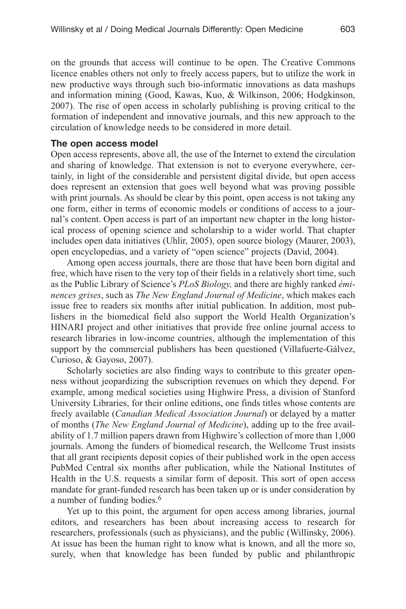on the grounds that access will continue to be open. The Creative Commons licence enables others not only to freely access papers, but to utilize the work in new productive ways through such bio-informatic innovations as data mashups and information mining (Good, Kawas, Kuo, & Wilkinson, 2006; Hodgkinson, 2007). The rise of open access in scholarly publishing is proving critical to the formation of independent and innovative journals, and this new approach to the circulation of knowledge needs to be considered in more detail.

#### **The open access model**

Open access represents, above all, the use of the Internet to extend the circulation and sharing of knowledge. That extension is not to everyone everywhere, certainly, in light of the considerable and persistent digital divide, but open access does represent an extension that goes well beyond what was proving possible with print journals. As should be clear by this point, open access is not taking any one form, either in terms of economic models or conditions of access to a journal's content. Open access is part of an important new chapter in the long historical process of opening science and scholarship to a wider world. That chapter includes open data initiatives (Uhlir, 2005), open source biology (Maurer, 2003), open encyclopedias, and a variety of "open science" projects (David, 2004).

Among open access journals, there are those that have been born digital and free, which have risen to the very top of their fields in a relatively short time, such as the Public Library of Science's *PLoS Biology,* and there are highly ranked *éminences grises*, such as *The New England Journal of Medicine*, which makes each issue free to readers six months after initial publication. In addition, most publishers in the biomedical field also support the World Health Organization's HINARI project and other initiatives that provide free online journal access to research libraries in low-income countries, although the implementation of this support by the commercial publishers has been questioned (Villafuerte-Gálvez, Curioso, & Gayoso, 2007).

Scholarly societies are also finding ways to contribute to this greater openness without jeopardizing the subscription revenues on which they depend. For example, among medical societies using Highwire Press, a division of Stanford University Libraries, for their online editions, one finds titles whose contents are freely available (*Canadian Medical Association Journal*) or delayed by a matter of months (*The New England Journal of Medicine*), adding up to the free availability of 1.7 million papers drawn from Highwire's collection of more than 1,000 journals. Among the funders of biomedical research, the Wellcome Trust insists that all grant recipients deposit copies of their published work in the open access PubMed Central six months after publication, while the National Institutes of Health in the U.S. requests a similar form of deposit. This sort of open access mandate for grant-funded research has been taken up or is under consideration by a number of funding bodies.<sup>6</sup>

Yet up to this point, the argument for open access among libraries, journal editors, and researchers has been about increasing access to research for researchers, professionals (such as physicians), and the public (Willinsky, 2006). At issue has been the human right to know what is known, and all the more so, surely, when that knowledge has been funded by public and philanthropic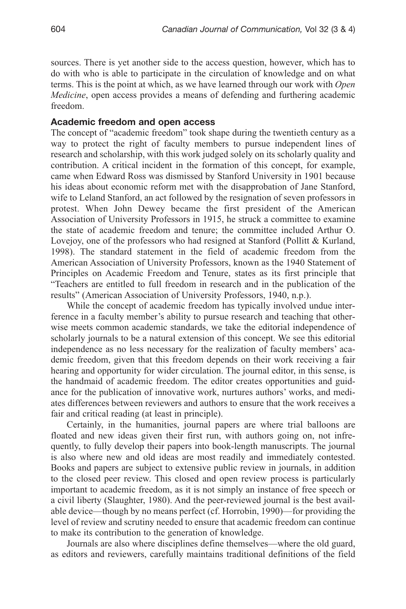sources. There is yet another side to the access question, however, which has to do with who is able to participate in the circulation of knowledge and on what terms. This is the point at which, as we have learned through our work with *Open Medicine*, open access provides a means of defending and furthering academic freedom.

## **Academic freedom and open access**

The concept of "academic freedom" took shape during the twentieth century as a way to protect the right of faculty members to pursue independent lines of research and scholarship, with this work judged solely on its scholarly quality and contribution. A critical incident in the formation of this concept, for example, came when Edward Ross was dismissed by Stanford University in 1901 because his ideas about economic reform met with the disapprobation of Jane Stanford, wife to Leland Stanford, an act followed by the resignation of seven professors in protest. When John Dewey became the first president of the American Association of University Professors in 1915, he struck a committee to examine the state of academic freedom and tenure; the committee included Arthur O. Lovejoy, one of the professors who had resigned at Stanford (Pollitt & Kurland, 1998). The standard statement in the field of academic freedom from the American Association of University Professors, known as the 1940 Statement of Principles on Academic Freedom and Tenure, states as its first principle that "Teachers are entitled to full freedom in research and in the publication of the results" (American Association of University Professors, 1940, n.p.).

While the concept of academic freedom has typically involved undue interference in a faculty member's ability to pursue research and teaching that otherwise meets common academic standards, we take the editorial independence of scholarly journals to be a natural extension of this concept. We see this editorial independence as no less necessary for the realization of faculty members' academic freedom, given that this freedom depends on their work receiving a fair hearing and opportunity for wider circulation. The journal editor, in this sense, is the handmaid of academic freedom. The editor creates opportunities and guidance for the publication of innovative work, nurtures authors' works, and mediates differences between reviewers and authors to ensure that the work receives a fair and critical reading (at least in principle).

Certainly, in the humanities, journal papers are where trial balloons are floated and new ideas given their first run, with authors going on, not infrequently, to fully develop their papers into book-length manuscripts. The journal is also where new and old ideas are most readily and immediately contested. Books and papers are subject to extensive public review in journals, in addition to the closed peer review. This closed and open review process is particularly important to academic freedom, as it is not simply an instance of free speech or a civil liberty (Slaughter, 1980). And the peer-reviewed journal is the best available device—though by no means perfect (cf. Horrobin, 1990)—for providing the level of review and scrutiny needed to ensure that academic freedom can continue to make its contribution to the generation of knowledge.

Journals are also where disciplines define themselves—where the old guard, as editors and reviewers, carefully maintains traditional definitions of the field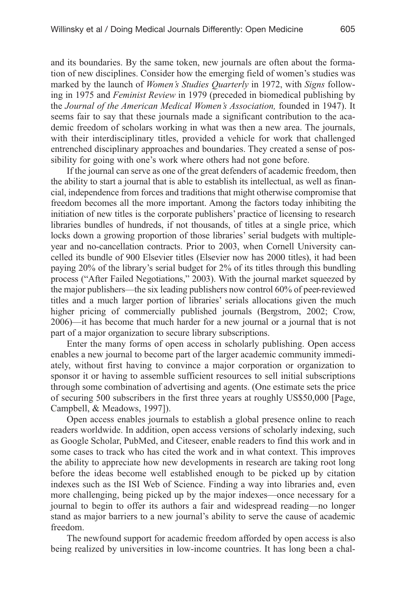and its boundaries. By the same token, new journals are often about the formation of new disciplines. Consider how the emerging field of women's studies was marked by the launch of *Women's Studies Quarterly* in 1972, with *Signs* following in 1975 and *Feminist Review* in 1979 (preceded in biomedical publishing by the *Journal of the American Medical Women's Association,* founded in 1947). It seems fair to say that these journals made a significant contribution to the academic freedom of scholars working in what was then a new area. The journals, with their interdisciplinary titles, provided a vehicle for work that challenged entrenched disciplinary approaches and boundaries. They created a sense of possibility for going with one's work where others had not gone before.

If the journal can serve as one of the great defenders of academic freedom, then the ability to start a journal that is able to establish its intellectual, as well as financial, independence from forces and traditions that might otherwise compromise that freedom becomes all the more important. Among the factors today inhibiting the initiation of new titles is the corporate publishers' practice of licensing to research libraries bundles of hundreds, if not thousands, of titles at a single price, which locks down a growing proportion of those libraries' serial budgets with multipleyear and no-cancellation contracts. Prior to 2003, when Cornell University cancelled its bundle of 900 Elsevier titles (Elsevier now has 2000 titles), it had been paying 20% of the library's serial budget for 2% of its titles through this bundling process ("After Failed Negotiations," 2003). With the journal market squeezed by the major publishers—the six leading publishers now control 60% of peer-reviewed titles and a much larger portion of libraries' serials allocations given the much higher pricing of commercially published journals (Bergstrom, 2002; Crow, 2006)—it has become that much harder for a new journal or a journal that is not part of a major organization to secure library subscriptions.

Enter the many forms of open access in scholarly publishing. Open access enables a new journal to become part of the larger academic community immediately, without first having to convince a major corporation or organization to sponsor it or having to assemble sufficient resources to sell initial subscriptions through some combination of advertising and agents. (One estimate sets the price of securing 500 subscribers in the first three years at roughly US\$50,000 [Page, Campbell, & Meadows, 1997]).

Open access enables journals to establish a global presence online to reach readers worldwide. In addition, open access versions of scholarly indexing, such as Google Scholar, PubMed, and Citeseer, enable readers to find this work and in some cases to track who has cited the work and in what context. This improves the ability to appreciate how new developments in research are taking root long before the ideas become well established enough to be picked up by citation indexes such as the ISI Web of Science. Finding a way into libraries and, even more challenging, being picked up by the major indexes—once necessary for a journal to begin to offer its authors a fair and widespread reading—no longer stand as major barriers to a new journal's ability to serve the cause of academic freedom.

The newfound support for academic freedom afforded by open access is also being realized by universities in low-income countries. It has long been a chal-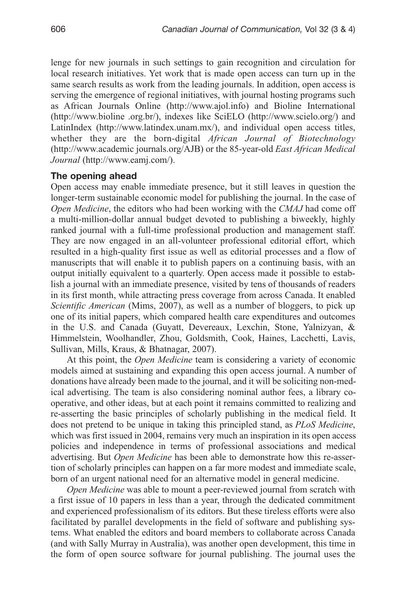lenge for new journals in such settings to gain recognition and circulation for local research initiatives. Yet work that is made open access can turn up in the same search results as work from the leading journals. In addition, open access is serving the emergence of regional initiatives, with journal hosting programs such as African Journals Online (http://www.ajol.info) and Bioline International (http://www.bioline .org.br/), indexes like SciELO (http://www.scielo.org/) and LatinIndex (http://www.latindex.unam.mx/), and individual open access titles, whether they are the born-digital *African Journal of Biotechnology* (http://www.academic journals.org/AJB) or the 85-year-old *East African Medical Journal* (http://www.eamj.com/).

### **The opening ahead**

Open access may enable immediate presence, but it still leaves in question the longer-term sustainable economic model for publishing the journal. In the case of *Open Medicine*, the editors who had been working with the *CMAJ* had come off a multi-million-dollar annual budget devoted to publishing a biweekly, highly ranked journal with a full-time professional production and management staff. They are now engaged in an all-volunteer professional editorial effort, which resulted in a high-quality first issue as well as editorial processes and a flow of manuscripts that will enable it to publish papers on a continuing basis, with an output initially equivalent to a quarterly. Open access made it possible to establish a journal with an immediate presence, visited by tens of thousands of readers in its first month, while attracting press coverage from across Canada. It enabled *Scientific American* (Mims, 2007), as well as a number of bloggers, to pick up one of its initial papers, which compared health care expenditures and outcomes in the U.S. and Canada (Guyatt, Devereaux, Lexchin, Stone, Yalnizyan, & Himmelstein, Woolhandler, Zhou, Goldsmith, Cook, Haines, Lacchetti, Lavis, Sullivan, Mills, Kraus, & Bhatnagar, 2007).

At this point, the *Open Medicine* team is considering a variety of economic models aimed at sustaining and expanding this open access journal. A number of donations have already been made to the journal, and it will be soliciting non-medical advertising. The team is also considering nominal author fees, a library cooperative, and other ideas, but at each point it remains committed to realizing and re-asserting the basic principles of scholarly publishing in the medical field. It does not pretend to be unique in taking this principled stand, as *PLoS Medicine*, which was first issued in 2004, remains very much an inspiration in its open access policies and independence in terms of professional associations and medical advertising. But *Open Medicine* has been able to demonstrate how this re-assertion of scholarly principles can happen on a far more modest and immediate scale, born of an urgent national need for an alternative model in general medicine.

*Open Medicine* was able to mount a peer-reviewed journal from scratch with a first issue of 10 papers in less than a year, through the dedicated commitment and experienced professionalism of its editors. But these tireless efforts were also facilitated by parallel developments in the field of software and publishing systems. What enabled the editors and board members to collaborate across Canada (and with Sally Murray in Australia), was another open development, this time in the form of open source software for journal publishing. The journal uses the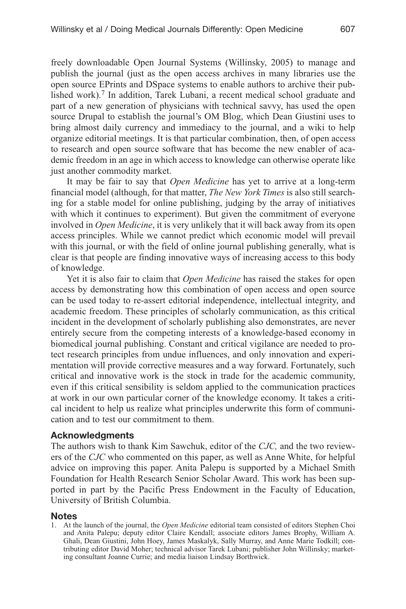freely downloadable Open Journal Systems (Willinsky, 2005) to manage and publish the journal (just as the open access archives in many libraries use the open source EPrints and DSpace systems to enable authors to archive their published work).<sup>7</sup> In addition, Tarek Lubani, a recent medical school graduate and part of a new generation of physicians with technical savvy, has used the open source Drupal to establish the journal's OM Blog, which Dean Giustini uses to bring almost daily currency and immediacy to the journal, and a wiki to help organize editorial meetings. It is that particular combination, then, of open access to research and open source software that has become the new enabler of academic freedom in an age in which access to knowledge can otherwise operate like just another commodity market.

It may be fair to say that *Open Medicine* has yet to arrive at a long-term financial model (although, for that matter, *The New York Times* is also still searching for a stable model for online publishing, judging by the array of initiatives with which it continues to experiment). But given the commitment of everyone involved in *Open Medicine*, it is very unlikely that it will back away from its open access principles. While we cannot predict which economic model will prevail with this journal, or with the field of online journal publishing generally, what is clear is that people are finding innovative ways of increasing access to this body of knowledge.

Yet it is also fair to claim that *Open Medicine* has raised the stakes for open access by demonstrating how this combination of open access and open source can be used today to re-assert editorial independence, intellectual integrity, and academic freedom. These principles of scholarly communication, as this critical incident in the development of scholarly publishing also demonstrates, are never entirely secure from the competing interests of a knowledge-based economy in biomedical journal publishing. Constant and critical vigilance are needed to protect research principles from undue influences, and only innovation and experimentation will provide corrective measures and a way forward. Fortunately, such critical and innovative work is the stock in trade for the academic community, even if this critical sensibility is seldom applied to the communication practices at work in our own particular corner of the knowledge economy. It takes a critical incident to help us realize what principles underwrite this form of communication and to test our commitment to them.

#### **Acknowledgments**

The authors wish to thank Kim Sawchuk, editor of the *CJC,* and the two reviewers of the *CJC* who commented on this paper, as well as Anne White, for helpful advice on improving this paper. Anita Palepu is supported by a Michael Smith Foundation for Health Research Senior Scholar Award. This work has been supported in part by the Pacific Press Endowment in the Faculty of Education, University of British Columbia.

#### **Notes**

1. At the launch of the journal, the *Open Medicine* editorial team consisted of editors Stephen Choi and Anita Palepu; deputy editor Claire Kendall; associate editors James Brophy, William A. Ghali, Dean Giustini, John Hoey, James Maskalyk, Sally Murray, and Anne Marie Todkill; contributing editor David Moher; technical advisor Tarek Lubani; publisher John Willinsky; marketing consultant Joanne Currie; and media liaison Lindsay Borthwick.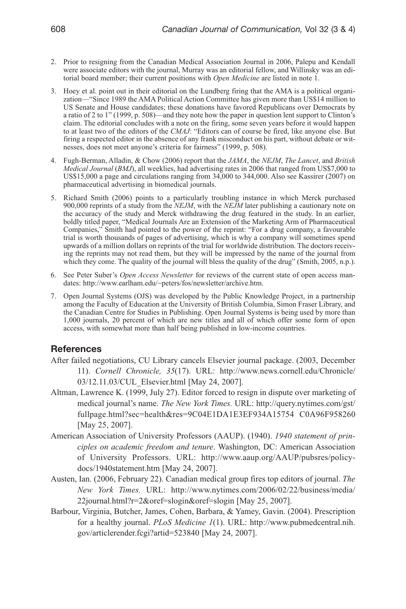- 2. Prior to resigning from the Canadian Medical Association Journal in 2006, Palepu and Kendall were associate editors with the journal, Murray was an editorial fellow, and Willinsky was an editorial board member; their current positions with *Open Medicine* are listed in note 1.
- 3. Hoey et al. point out in their editorial on the Lundberg firing that the AMA is a political organization—"Since 1989 the AMA Political Action Committee has given more than US\$14 million to US Senate and House candidates; these donations have favored Republicans over Democrats by a ratio of 2 to 1" (1999, p. 508)—and they note how the paper in question lent support to Clinton's claim. The editorial concludes with a note on the firing, some seven years before it would happen to at least two of the editors of the *CMAJ*: "Editors can of course be fired, like anyone else. But firing a respected editor in the absence of any frank misconduct on his part, without debate or witnesses, does not meet anyone's criteria for fairness" (1999, p. 508).
- 4. Fugh-Berman, Alladin, & Chow (2006) report that the *JAMA*, the *NEJM*, *The Lancet*, and *British Medical Journal* (*BMJ*), all weeklies, had advertising rates in 2006 that ranged from US\$7,000 to US\$15,000 a page and circulations ranging from 34,000 to 344,000. Also see Kassirer (2007) on pharmaceutical advertising in biomedical journals.
- 5. Richard Smith (2006) points to a particularly troubling instance in which Merck purchased 900,000 reprints of a study from the *NEJM*, with the *NEJM* later publishing a cautionary note on the accuracy of the study and Merck withdrawing the drug featured in the study. In an earlier, boldly titled paper, "Medical Journals Are an Extension of the Marketing Arm of Pharmaceutical Companies," Smith had pointed to the power of the reprint: "For a drug company, a favourable trial is worth thousands of pages of advertising, which is why a company will sometimes spend upwards of a million dollars on reprints of the trial for worldwide distribution. The doctors receiving the reprints may not read them, but they will be impressed by the name of the journal from which they come. The quality of the journal will bless the quality of the drug" (Smith, 2005, n.p.).
- 6. See Peter Suber's *Open Access Newsletter* for reviews of the current state of open access mandates: http://www.earlham.edu/~peters/fos/newsletter/archive.htm.
- 7. Open Journal Systems (OJS) was developed by the Public Knowledge Project, in a partnership among the Faculty of Education at the University of British Columbia, Simon Fraser Library, and the Canadian Centre for Studies in Publishing. Open Journal Systems is being used by more than 1,000 journals, 20 percent of which are new titles and all of which offer some form of open access, with somewhat more than half being published in low-income countries.

## **References**

- After failed negotiations, CU Library cancels Elsevier journal package. (2003, December 11). *Cornell Chronicle, 35*(17). URL: http://www.news.cornell.edu/Chronicle/ 03/12.11.03/CUL\_Elsevier.html [May 24, 2007].
- Altman, Lawrence K. (1999, July 27). Editor forced to resign in dispute over marketing of medical journal's name. *The New York Times.* URL: http://query.nytimes.com/gst/ fullpage.html?sec=health&res=9C04E1DA1E3EF934A15754 C0A96F958260 [May 25, 2007].
- American Association of University Professors (AAUP). (1940). *1940 statement of principles on academic freedom and tenure*. Washington, DC: American Association of University Professors. URL: http://www.aaup.org/AAUP/pubsres/policydocs/1940statement.htm [May 24, 2007].
- Austen, Ian. (2006, February 22). Canadian medical group fires top editors of journal. *The New York Times.* URL: http://www.nytimes.com/2006/02/22/business/media/ 22journal.html?r=2&oref=slogin&oref=slogin [May 25, 2007].
- Barbour, Virginia, Butcher, James, Cohen, Barbara, & Yamey, Gavin. (2004). Prescription for a healthy journal. *PLoS Medicine 1*(1). URL: http://www.pubmedcentral.nih. gov/articlerender.fcgi?artid=523840 [May 24, 2007].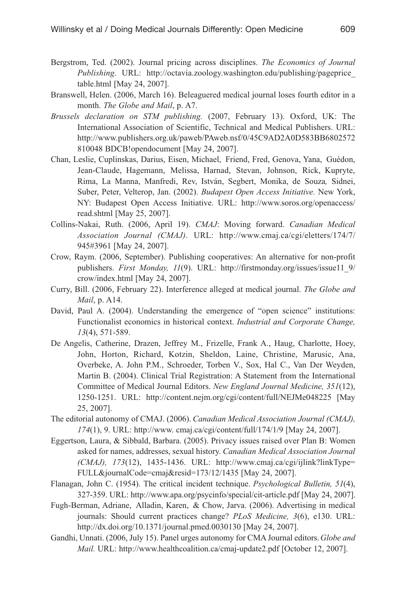- Bergstrom, Ted. (2002). Journal pricing across disciplines. *The Economics of Journal Publishing*. URL: http://octavia.zoology.washington.edu/publishing/pageprice\_ table.html [May 24, 2007].
- Branswell, Helen. (2006, March 16). Beleaguered medical journal loses fourth editor in a month. *The Globe and Mail*, p. A7.
- *Brussels declaration on STM publishing.* (2007, February 13). Oxford, UK: The International Association of Scientific, Technical and Medical Publishers. URL: http://www.publishers.org.uk/paweb/PAweb.nsf/0/45C9AD2A0D583BB6802572 810048 BDCB!opendocument [May 24, 2007].
- Chan, Leslie, Cuplinskas, Darius, Eisen, Michael, Friend, Fred, Genova, Yana, Guédon, Jean-Claude, Hagemann, Melissa, Harnad, Stevan, Johnson, Rick, Kupryte, Rima, La Manna, Manfredi, Rev, István, Segbert, Monika, de Souza*,* Sidnei, Suber, Peter, Velterop, Jan. (2002). *Budapest Open Access Initiative.* New York, NY: Budapest Open Access Initiative. URL: http://www.soros.org/openaccess/ read.shtml [May 25, 2007].
- Collins-Nakai, Ruth. (2006, April 19). *CMAJ*: Moving forward. *Canadian Medical Association Journal (CMAJ)*. URL: http://www.cmaj.ca/cgi/eletters/174/7/ 945#3961 [May 24, 2007].
- Crow, Raym. (2006, September). Publishing cooperatives: An alternative for non-profit publishers. *First Monday, 11*(9). URL: http://firstmonday.org/issues/issue11\_9/ crow/index.html [May 24, 2007].
- Curry, Bill. (2006, February 22). Interference alleged at medical journal. *The Globe and Mail*, p. A14.
- David, Paul A. (2004). Understanding the emergence of "open science" institutions: Functionalist economics in historical context. *Industrial and Corporate Change, 13*(4), 571-589.
- De Angelis, Catherine, Drazen, Jeffrey M., Frizelle, Frank A., Haug, Charlotte, Hoey, John, Horton, Richard, Kotzin, Sheldon, Laine, Christine, Marusic, Ana, Overbeke, A. John P.M., Schroeder, Torben V., Sox, Hal C., Van Der Weyden, Martin B. (2004). Clinical Trial Registration: A Statement from the International Committee of Medical Journal Editors. *New England Journal Medicine, 351*(12), 1250-1251. URL: http://content.nejm.org/cgi/content/full/NEJMe048225 [May 25, 2007].
- The editorial autonomy of CMAJ. (2006). *Canadian Medical Association Journal (CMAJ), 174*(1), 9. URL: http://www. cmaj.ca/cgi/content/full/174/1/9 [May 24, 2007].
- Eggertson, Laura, & Sibbald, Barbara. (2005). Privacy issues raised over Plan B: Women asked for names, addresses, sexual history. *Canadian Medical Association Journal (CMAJ), 173*(12), 1435-1436. URL: http://www.cmaj.ca/cgi/ijlink?linkType= FULL&journalCode=cmaj&resid=173/12/1435 [May 24, 2007].
- Flanagan, John C. (1954). The critical incident technique. *Psychological Bulletin, 51*(4), 327-359. URL: http://www.apa.org/psycinfo/special/cit-article.pdf [May 24, 2007].
- Fugh-Berman, Adriane, Alladin, Karen, & Chow, Jarva. (2006). Advertising in medical journals: Should current practices change? *PLoS Medicine, 3*(6), e130. URL: http://dx.doi.org/10.1371/journal.pmed.0030130 [May 24, 2007].
- Gandhi, Unnati. (2006, July 15). Panel urges autonomy for CMA Journal editors. *Globe and Mail.* URL: http://www.healthcoalition.ca/cmaj-update2.pdf [October 12, 2007].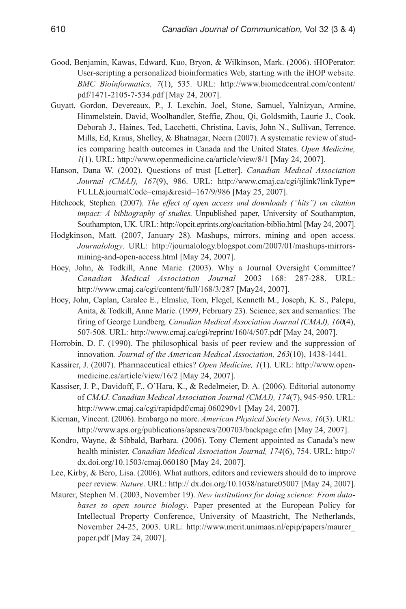- Good, Benjamin, Kawas, Edward, Kuo, Bryon, & Wilkinson, Mark. (2006). iHOPerator: User-scripting a personalized bioinformatics Web, starting with the iHOP website. *BMC Bioinformatics, 7*(1), 535. URL: http://www.biomedcentral.com/content/ pdf/1471-2105-7-534.pdf [May 24, 2007].
- Guyatt, Gordon, Devereaux, P., J. Lexchin, Joel, Stone, Samuel, Yalnizyan, Armine, Himmelstein, David, Woolhandler, Steffie, Zhou, Qi, Goldsmith, Laurie J., Cook, Deborah J., Haines, Ted, Lacchetti, Christina, Lavis, John N., Sullivan, Terrence, Mills, Ed, Kraus, Shelley, & Bhatnagar, Neera (2007). A systematic review of studies comparing health outcomes in Canada and the United States. *Open Medicine, 1*(1). URL: http://www.openmedicine.ca/article/view/8/1 [May 24, 2007].
- Hanson, Dana W. (2002). Questions of trust [Letter]. *Canadian Medical Association Journal (CMAJ), 167*(9), 986. URL: http://www.cmaj.ca/cgi/ijlink?linkType= FULL&journalCode=cmaj&resid=167/9/986 [May 25, 2007].
- Hitchcock, Stephen. (2007). *The effect of open access and downloads ("hits") on citation impact: A bibliography of studies*. Unpublished paper, University of Southampton, Southampton, UK. URL: http://opcit.eprints.org/oacitation-biblio.html [May 24, 2007].
- Hodgkinson, Matt. (2007, January 28). Mashups, mirrors, mining and open access. *Journalology*. URL: http://journalology.blogspot.com/2007/01/mashups-mirrorsmining-and-open-access.html [May 24, 2007].
- Hoey, John, & Todkill, Anne Marie. (2003). Why a Journal Oversight Committee? *Canadian Medical Association Journal* 2003 168: 287-288. URL: http://www.cmaj.ca/cgi/content/full/168/3/287 [May24, 2007].
- Hoey, John, Caplan, Caralee E., Elmslie, Tom, Flegel, Kenneth M., Joseph, K. S., Palepu, Anita, & Todkill, Anne Marie. (1999, February 23). Science, sex and semantics: The firing of George Lundberg. *Canadian Medical Association Journal (CMAJ), 160*(4), 507-508. URL: http://www.cmaj.ca/cgi/reprint/160/4/507.pdf [May 24, 2007].
- Horrobin, D. F. (1990). The philosophical basis of peer review and the suppression of innovation*. Journal of the American Medical Association, 263*(10), 1438-1441.
- Kassirer, J. (2007). Pharmaceutical ethics? *Open Medicine, 1*(1). URL: http://www.openmedicine.ca/article/view/16/2 [May 24, 2007].
- Kassiser, J. P., Davidoff, F., O'Hara, K., & Redelmeier, D. A. (2006). Editorial autonomy of *CMAJ*. *Canadian Medical Association Journal (CMAJ), 174*(7), 945-950. URL: http://www.cmaj.ca/cgi/rapidpdf/cmaj.060290v1 [May 24, 2007].
- Kiernan, Vincent. (2006). Embargo no more. *American Physical Society News, 16*(3). URL: http://www.aps.org/publications/apsnews/200703/backpage.cfm [May 24, 2007].
- Kondro, Wayne, & Sibbald, Barbara. (2006). Tony Clement appointed as Canada's new health minister. *Canadian Medical Association Journal, 174*(6), 754. URL: http:// dx.doi.org/10.1503/cmaj.060180 [May 24, 2007].
- Lee, Kirby, & Bero, Lisa. (2006). What authors, editors and reviewers should do to improve peer review. *Nature*. URL: http:// dx.doi.org/10.1038/nature05007 [May 24, 2007].
- Maurer, Stephen M. (2003, November 19). *New institutions for doing science: From databases to open source biology*. Paper presented at the European Policy for Intellectual Property Conference, University of Maastricht, The Netherlands, November 24-25, 2003. URL: http://www.merit.unimaas.nl/epip/papers/maurer\_ paper.pdf [May 24, 2007].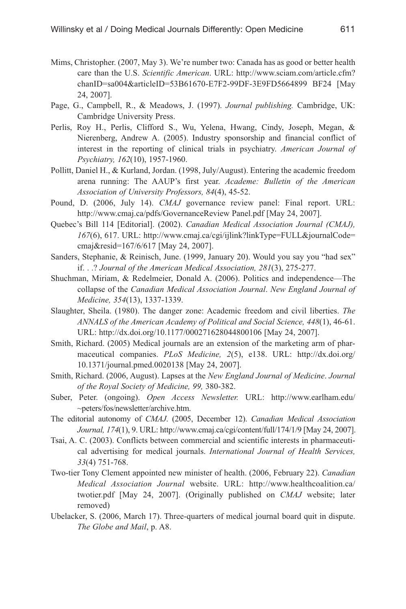- Mims, Christopher. (2007, May 3). We're number two: Canada has as good or better health care than the U.S. *Scientific American*. URL: http://www.sciam.com/article.cfm? chanID=sa004&articleID=53B61670-E7F2-99DF-3E9FD5664899 BF24 [May 24, 2007].
- Page, G., Campbell, R., & Meadows, J. (1997). *Journal publishing.* Cambridge, UK: Cambridge University Press.
- Perlis, Roy H., Perlis, Clifford S., Wu, Yelena, Hwang, Cindy, Joseph, Megan, & Nierenberg, Andrew A. (2005). Industry sponsorship and financial conflict of interest in the reporting of clinical trials in psychiatry. *American Journal of Psychiatry, 162*(10), 1957-1960.
- Pollitt, Daniel H., & Kurland, Jordan. (1998, July/August). Entering the academic freedom arena running: The AAUP's first year. *Academe: Bulletin of the American Association of University Professors, 84*(4), 45-52.
- Pound, D. (2006, July 14). *CMAJ* governance review panel: Final report. URL: http://www.cmaj.ca/pdfs/GovernanceReview Panel.pdf [May 24, 2007].
- Quebec's Bill 114 [Editorial]. (2002). *Canadian Medical Association Journal (CMAJ), 167*(6), 617. URL: http://www.cmaj.ca/cgi/ijlink?linkType=FULL&journalCode= cmaj&resid=167/6/617 [May 24, 2007].
- Sanders, Stephanie, & Reinisch, June. (1999, January 20). Would you say you "had sex" if. . .? *Journal of the American Medical Association, 281*(3), 275-277.
- Shuchman, Miriam, & Redelmeier, Donald A. (2006). Politics and independence—The collapse of the *Canadian Medical Association Journal*. *New England Journal of Medicine, 354*(13), 1337-1339.
- Slaughter, Sheila. (1980). The danger zone: Academic freedom and civil liberties. *The ANNALS of the American Academy of Political and Social Science, 448*(1), 46-61. URL: http://dx.doi.org/10.1177/000271628044800106 [May 24, 2007].
- Smith, Richard. (2005) Medical journals are an extension of the marketing arm of pharmaceutical companies. *PLoS Medicine, 2*(5), e138. URL: http://dx.doi.org/ 10.1371/journal.pmed.0020138 [May 24, 2007].
- Smith, Richard. (2006, August). Lapses at the *New England Journal of Medicine*. *Journal of the Royal Society of Medicine, 99,* 380-382.
- Suber, Peter. (ongoing). *Open Access Newsletter.* URL: http://www.earlham.edu/ ~peters/fos/newsletter/archive.htm.
- The editorial autonomy of *CMAJ*. (2005, December 12). *Canadian Medical Association Journal, 174*(1), 9. URL: http://www.cmaj.ca/cgi/content/full/174/1/9 [May 24, 2007].
- Tsai, A. C. (2003). Conflicts between commercial and scientific interests in pharmaceutical advertising for medical journals. *International Journal of Health Services, 33*(4) 751-768.
- Two-tier Tony Clement appointed new minister of health. (2006, February 22). *Canadian Medical Association Journal* website. URL: http://www.healthcoalition.ca/ twotier.pdf [May 24, 2007]. (Originally published on *CMAJ* website; later removed)
- Ubelacker, S. (2006, March 17). Three-quarters of medical journal board quit in dispute. *The Globe and Mail*, p. A8.